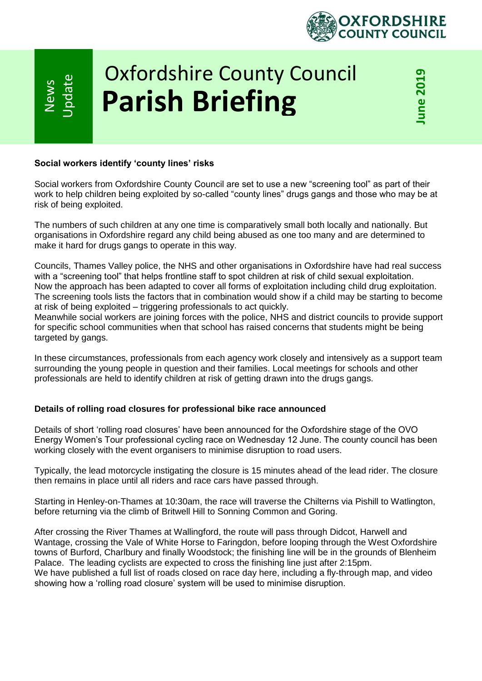

# Oxfordshire County Council **Parish Briefing**

## **Social workers identify 'county lines' risks**

News

**Ipdate** 

Social workers from Oxfordshire County Council are set to use a new "screening tool" as part of their work to help children being exploited by so-called "county lines" drugs gangs and those who may be at risk of being exploited.

The numbers of such children at any one time is comparatively small both locally and nationally. But organisations in Oxfordshire regard any child being abused as one too many and are determined to make it hard for drugs gangs to operate in this way.

Councils, Thames Valley police, the NHS and other organisations in Oxfordshire have had real success with a "screening tool" that helps frontline staff to spot children at risk of child sexual exploitation. Now the approach has been adapted to cover all forms of exploitation including child drug exploitation. The screening tools lists the factors that in combination would show if a child may be starting to become at risk of being exploited – triggering professionals to act quickly.

Meanwhile social workers are joining forces with the police, NHS and district councils to provide support for specific school communities when that school has raised concerns that students might be being targeted by gangs.

In these circumstances, professionals from each agency work closely and intensively as a support team surrounding the young people in question and their families. Local meetings for schools and other professionals are held to identify children at risk of getting drawn into the drugs gangs.

## **Details of rolling road closures for professional bike race announced**

Details of short 'rolling road closures' have been announced for the Oxfordshire stage of the OVO Energy Women's Tour professional cycling race on Wednesday 12 June. The county council has been working closely with the event organisers to minimise disruption to road users.

Typically, the lead motorcycle instigating the closure is 15 minutes ahead of the lead rider. The closure then remains in place until all riders and race cars have passed through.

Starting in Henley-on-Thames at 10:30am, the race will traverse the Chilterns via Pishill to Watlington, before returning via the climb of Britwell Hill to Sonning Common and Goring.

After crossing the River Thames at Wallingford, the route will pass through Didcot, Harwell and Wantage, crossing the Vale of White Horse to Faringdon, before looping through the West Oxfordshire towns of Burford, Charlbury and finally Woodstock; the finishing line will be in the grounds of Blenheim Palace. The leading cyclists are expected to cross the finishing line just after 2:15pm. We have published a full list of roads closed on race day here, including a fly-through map, and video showing how a 'rolling road closure' system will be used to minimise disruption.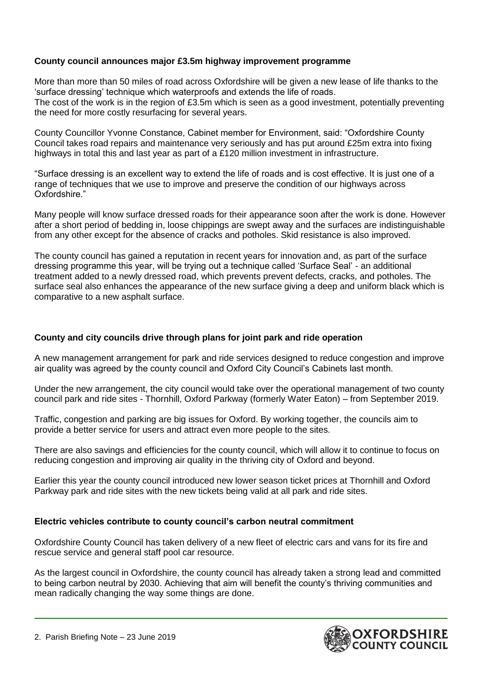# **County council announces major £3.5m highway improvement programme**

More than more than 50 miles of road across Oxfordshire will be given a new lease of life thanks to the 'surface dressing' technique which waterproofs and extends the life of roads. The cost of the work is in the region of £3.5m which is seen as a good investment, potentially preventing the need for more costly resurfacing for several years.

County Councillor Yvonne Constance, Cabinet member for Environment, said: "Oxfordshire County Council takes road repairs and maintenance very seriously and has put around £25m extra into fixing highways in total this and last year as part of a £120 million investment in infrastructure.

"Surface dressing is an excellent way to extend the life of roads and is cost effective. It is just one of a range of techniques that we use to improve and preserve the condition of our highways across Oxfordshire."

Many people will know surface dressed roads for their appearance soon after the work is done. However after a short period of bedding in, loose chippings are swept away and the surfaces are indistinguishable from any other except for the absence of cracks and potholes. Skid resistance is also improved.

The county council has gained a reputation in recent years for innovation and, as part of the surface dressing programme this year, will be trying out a technique called 'Surface Seal' - an additional treatment added to a newly dressed road, which prevents prevent defects, cracks, and potholes. The surface seal also enhances the appearance of the new surface giving a deep and uniform black which is comparative to a new asphalt surface.

## **County and city councils drive through plans for joint park and ride operation**

A new management arrangement for park and ride services designed to reduce congestion and improve air quality was agreed by the county council and Oxford City Council's Cabinets last month.

Under the new arrangement, the city council would take over the operational management of two county council park and ride sites - Thornhill, Oxford Parkway (formerly Water Eaton) – from September 2019.

Traffic, congestion and parking are big issues for Oxford. By working together, the councils aim to provide a better service for users and attract even more people to the sites.

There are also savings and efficiencies for the county council, which will allow it to continue to focus on reducing congestion and improving air quality in the thriving city of Oxford and beyond.

Earlier this year the county council introduced new lower season ticket prices at Thornhill and Oxford Parkway park and ride sites with the new tickets being valid at all park and ride sites.

## **Electric vehicles contribute to county council's carbon neutral commitment**

Oxfordshire County Council has taken delivery of a new fleet of electric cars and vans for its fire and rescue service and general staff pool car resource.

As the largest council in Oxfordshire, the county council has already taken a strong lead and committed to being carbon neutral by 2030. Achieving that aim will benefit the county's thriving communities and mean radically changing the way some things are done.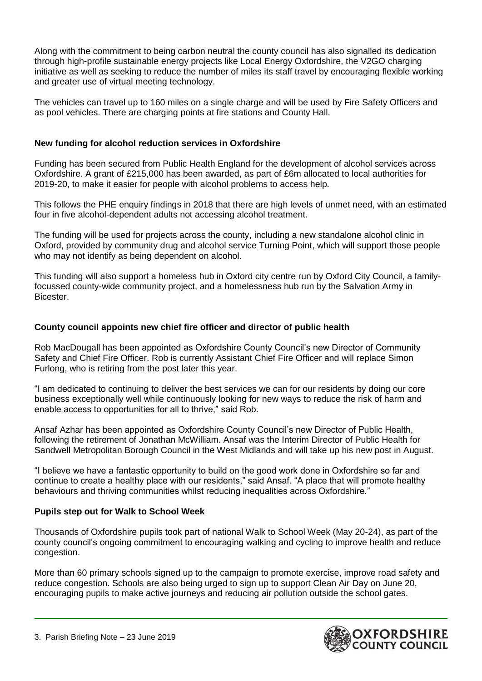Along with the commitment to being carbon neutral the county council has also signalled its dedication through high-profile sustainable energy projects like Local Energy Oxfordshire, the V2GO charging initiative as well as seeking to reduce the number of miles its staff travel by encouraging flexible working and greater use of virtual meeting technology.

The vehicles can travel up to 160 miles on a single charge and will be used by Fire Safety Officers and as pool vehicles. There are charging points at fire stations and County Hall.

# **New funding for alcohol reduction services in Oxfordshire**

Funding has been secured from Public Health England for the development of alcohol services across Oxfordshire. A grant of £215,000 has been awarded, as part of £6m allocated to local authorities for 2019-20, to make it easier for people with alcohol problems to access help.

This follows the PHE enquiry findings in 2018 that there are high levels of unmet need, with an estimated four in five alcohol-dependent adults not accessing alcohol treatment.

The funding will be used for projects across the county, including a new standalone alcohol clinic in Oxford, provided by community drug and alcohol service Turning Point, which will support those people who may not identify as being dependent on alcohol.

This funding will also support a homeless hub in Oxford city centre run by Oxford City Council, a familyfocussed county-wide community project, and a homelessness hub run by the Salvation Army in Bicester.

# **County council appoints new chief fire officer and director of public health**

Rob MacDougall has been appointed as Oxfordshire County Council's new Director of Community Safety and Chief Fire Officer. Rob is currently Assistant Chief Fire Officer and will replace Simon Furlong, who is retiring from the post later this year.

"I am dedicated to continuing to deliver the best services we can for our residents by doing our core business exceptionally well while continuously looking for new ways to reduce the risk of harm and enable access to opportunities for all to thrive," said Rob.

Ansaf Azhar has been appointed as Oxfordshire County Council's new Director of Public Health, following the retirement of Jonathan McWilliam. Ansaf was the Interim Director of Public Health for Sandwell Metropolitan Borough Council in the West Midlands and will take up his new post in August.

"I believe we have a fantastic opportunity to build on the good work done in Oxfordshire so far and continue to create a healthy place with our residents," said Ansaf. "A place that will promote healthy behaviours and thriving communities whilst reducing inequalities across Oxfordshire."

## **Pupils step out for Walk to School Week**

Thousands of Oxfordshire pupils took part of national Walk to School Week (May 20-24), as part of the county council's ongoing commitment to encouraging walking and cycling to improve health and reduce congestion.

More than 60 primary schools signed up to the campaign to promote exercise, improve road safety and reduce congestion. Schools are also being urged to sign up to support Clean Air Day on June 20, encouraging pupils to make active journeys and reducing air pollution outside the school gates.